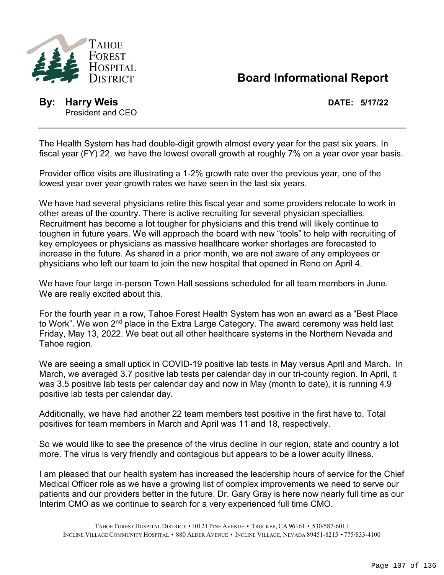

## **Board Informational Report**

**By: Harry Weis DATE: 5/17/22** President and CEO

The Health System has had double-digit growth almost every year for the past six years. In fiscal year (FY) 22, we have the lowest overall growth at roughly 7% on a year over year basis.

Provider office visits are illustrating a 1-2% growth rate over the previous year, one of the lowest year over year growth rates we have seen in the last six years.

We have had several physicians retire this fiscal year and some providers relocate to work in other areas of the country. There is active recruiting for several physician specialties. Recruitment has become a lot tougher for physicians and this trend will likely continue to toughen in future years. We will approach the board with new "tools" to help with recruiting of key employees or physicians as massive healthcare worker shortages are forecasted to increase in the future. As shared in a prior month, we are not aware of any employees or physicians who left our team to join the new hospital that opened in Reno on April 4.

We have four large in-person Town Hall sessions scheduled for all team members in June. We are really excited about this.

For the fourth year in a row, Tahoe Forest Health System has won an award as a "Best Place to Work". We won 2<sup>nd</sup> place in the Extra Large Category. The award ceremony was held last Friday, May 13, 2022. We beat out all other healthcare systems in the Northern Nevada and Tahoe region.

We are seeing a small uptick in COVID-19 positive lab tests in May versus April and March. In March, we averaged 3.7 positive lab tests per calendar day in our tri-county region. In April, it was 3.5 positive lab tests per calendar day and now in May (month to date), it is running 4.9 positive lab tests per calendar day.

Additionally, we have had another 22 team members test positive in the first have to. Total positives for team members in March and April was 11 and 18, respectively.

So we would like to see the presence of the virus decline in our region, state and country a lot more. The virus is very friendly and contagious but appears to be a lower acuity illness.

I am pleased that our health system has increased the leadership hours of service for the Chief Medical Officer role as we have a growing list of complex improvements we need to serve our patients and our providers better in the future. Dr. Gary Gray is here now nearly full time as our Interim CMO as we continue to search for a very experienced full time CMO.